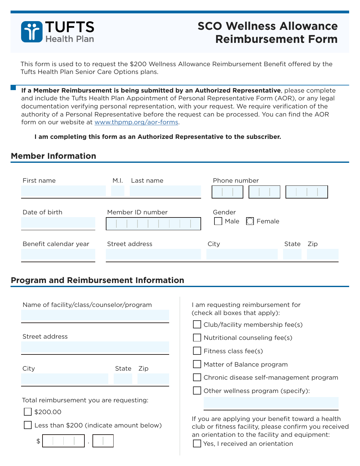

# **SCO Wellness Allowance Reimbursement Form**

This form is used to to request the \$200 Wellness Allowance Reimbursement Benefit offered by the Tufts Health Plan Senior Care Options plans.

**If a Member Reimbursement is being submitted by an Authorized Representative**, please complete and include the Tufts Health Plan Appointment of Personal Representative Form (AOR), or any legal documentation verifying personal representation, with your request. We require verification of the authority of a Personal Representative before the request can be processed. You can find the AOR form on our website at [www.thpmp.org/aor-forms](http://www.thpmp.org/aor-forms).

**I am completing this form as an Authorized Representative to the subscriber.**

## **Member Information**

| First name            | Last name<br>M.I. | Phone number                            |              |
|-----------------------|-------------------|-----------------------------------------|--------------|
| Date of birth         | Member ID number  | Gender<br>$\Box$ Male $\bigcirc$ Female |              |
| Benefit calendar year | Street address    | City                                    | State<br>Zip |

## **Program and Reimbursement Information**

| Name of facility/class/counselor/program |              | I am requesting reimbursement for<br>(check all boxes that apply):                                        |  |
|------------------------------------------|--------------|-----------------------------------------------------------------------------------------------------------|--|
|                                          |              | $\vert$ $\vert$ Club/facility membership fee(s)                                                           |  |
| Street address                           |              | Nutritional counseling fee(s)                                                                             |  |
|                                          |              | Fitness class fee(s)                                                                                      |  |
| City                                     | State<br>Zip | Matter of Balance program                                                                                 |  |
|                                          |              | Chronic disease self-management program                                                                   |  |
|                                          |              | Other wellness program (specify):                                                                         |  |
| Total reimbursement you are requesting:  |              |                                                                                                           |  |
| \$200.00                                 |              |                                                                                                           |  |
| Less than \$200 (indicate amount below)  |              | If you are applying your benefit toward a health<br>club or fitness facility, please confirm you received |  |
| \$                                       |              | an orientation to the facility and equipment:<br>Yes, I received an orientation                           |  |